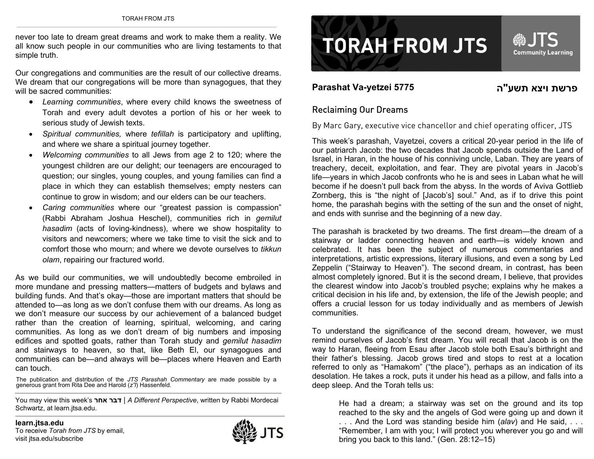never too late to dream great dreams and work to make them a reality. We all know such people in our communities who are living testaments to that simple truth.

Our congregations and communities are the result of our collective dreams. We dream that our congregations will be more than synagogues, that they will be sacred communities:

- *Learning communities*, where every child knows the sweetness of Torah and every adult devotes a portion of his or her week to serious study of Jewish texts.
- • *Spiritual communities,* where *tefillah* is participatory and uplifting, and where we share a spiritual journey together.
- • *Welcoming communities* to all Jews from age 2 to 120; where the youngest children are our delight; our teenagers are encouraged to question; our singles, young couples, and young families can find a place in which they can establish themselves; empty nesters can continue to grow in wisdom; and our elders can be our teachers.
- • *Caring communities* where our "greatest passion is compassion" (Rabbi Abraham Joshua Heschel), communities rich in *gemilut hasadim* (acts of loving-kindness), where we show hospitality to visitors and newcomers; where we take time to visit the sick and to comfort those who mourn; and where we devote ourselves to *tikkun olam*, repairing our fractured world.

As we build our communities, we will undoubtedly become embroiled in more mundane and pressing matters—matters of budgets and bylaws and building funds. And that's okay—those are important matters that should be attended to—as long as we don't confuse them with our dreams. As long as we don't measure our success by our achievement of a balanced budget rather than the creation of learning, spiritual, welcoming, and caring communities. As long as we don't dream of big numbers and imposing edifices and spotted goats, rather than Torah study and *gemilut hasadim* and stairways to heaven, so that, like Beth El, our synagogues and communities can be—and always will be—places where Heaven and Earth can touch.

The publication and distribution of the *JTS Parashah Commentary* are made possible by a generous grant from Rita Dee and Harold (*z"l*) Hassenfeld.

You may view this week's **אחר דבר** | *A Different Perspective*, written by Rabbi Mordecai Schwartz, at learn.jtsa.edu.





## **Parashat Va-yetzei 5775 פרשת ויצא תשע"**

## פרשת ויצא תשע"ה

## Reclaiming Our Dreams

By Marc Gary, executive vice chancellor and chief operating officer, JTS

This week's parashah, Vayetzei, covers a critical 20-year period in the life of our patriarch Jacob: the two decades that Jacob spends outside the Land of Israel, in Haran, in the house of his conniving uncle, Laban. They are years of treachery, deceit, exploitation, and fear. They are pivotal years in Jacob's life—years in which Jacob confronts who he is and sees in Laban what he will become if he doesn't pull back from the abyss. In the words of Aviva Gottlieb Zornberg, this is "the night of [Jacob's] soul." And, as if to drive this point home, the parashah begins with the setting of the sun and the onset of night, and ends with sunrise and the beginning of a new day.

The parashah is bracketed by two dreams. The first dream—the dream of a stairway or ladder connecting heaven and earth—is widely known and celebrated. It has been the subject of numerous commentaries and interpretations, artistic expressions, literary illusions, and even a song by Led Zeppelin ("Stairway to Heaven"). The second dream, in contrast, has been almost completely ignored. But it is the second dream, I believe, that provides the clearest window into Jacob's troubled psyche; explains why he makes a critical decision in his life and, by extension, the life of the Jewish people; and offers a crucial lesson for us today individually and as members of Jewish communities.

To understand the significance of the second dream, however, we must remind ourselves of Jacob's first dream. You will recall that Jacob is on the way to Haran, fleeing from Esau after Jacob stole both Esau's birthright and their father's blessing. Jacob grows tired and stops to rest at a location referred to only as "Hamakom" ("the place"), perhaps as an indication of its desolation. He takes a rock, puts it under his head as a pillow, and falls into a deep sleep. And the Torah tells us:

He had a dream; a stairway was set on the ground and its top reached to the sky and the angels of God were going up and down it . . . And the Lord was standing beside him (*alav*) and He said, . . . "Remember, I am with you; I will protect you wherever you go and will bring you back to this land." (Gen. 28:12–15)